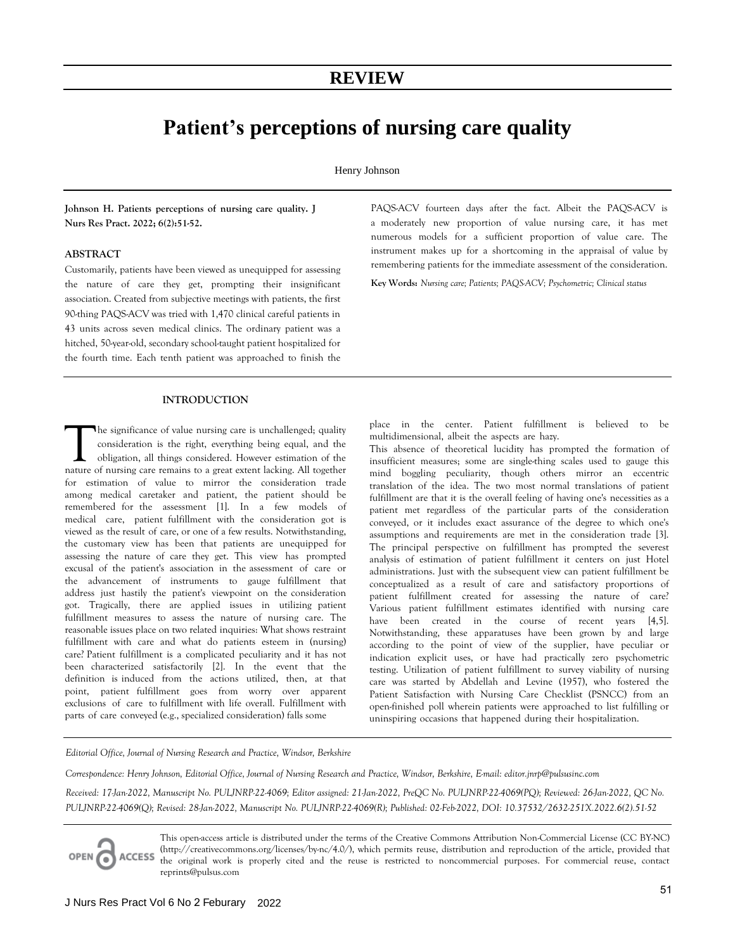# **REVIEW**

# **Patient's perceptions of nursing care quality**

Henry Johnson

**Johnson H. Patients perceptions of nursing care quality. J Nurs Res Pract. 2022; 6(2):51-52.** 

## **ABSTRACT**

Customarily, patients have been viewed as unequipped for assessing the nature of care they get, prompting their insignificant association. Created from subjective meetings with patients, the first 90-thing PAQS-ACV was tried with 1,470 clinical careful patients in 43 units across seven medical clinics. The ordinary patient was a hitched, 50-year-old, secondary school-taught patient hospitalized for the fourth time. Each tenth patient was approached to finish the

#### **INTRODUCTION**

he significance of value nursing care is unchallenged; quality consideration is the right, everything being equal, and the obligation, all things considered. However estimation of the The significance of value nursing care is unchallenged; quality consideration is the right, everything being equal, and the obligation, all things considered. However estimation of the nature of nursing care remains to a g for estimation of value to mirror the consideration trade among medical caretaker and patient, the patient should be remembered for the assessment [1]. In a few models of medical care, patient fulfillment with the consideration got is viewed as the result of care, or one of a few results. Notwithstanding, the customary view has been that patients are unequipped for assessing the nature of care they get. This view has prompted excusal of the patient's association in the assessment of care or the advancement of instruments to gauge fulfillment that address just hastily the patient's viewpoint on the consideration got. Tragically, there are applied issues in utilizing patient fulfillment measures to assess the nature of nursing care. The reasonable issues place on two related inquiries: What shows restraint fulfillment with care and what do patients esteem in (nursing) care? Patient fulfillment is a complicated peculiarity and it has not been characterized satisfactorily [2]. In the event that the definition is induced from the actions utilized, then, at that point, patient fulfillment goes from worry over apparent exclusions of care to fulfillment with life overall. Fulfillment with parts of care conveyed (e.g., specialized consideration) falls some

PAQS-ACV fourteen days after the fact. Albeit the PAQS-ACV is a moderately new proportion of value nursing care, it has met numerous models for a sufficient proportion of value care. The instrument makes up for a shortcoming in the appraisal of value by remembering patients for the immediate assessment of the consideration.

**Key Words:** *Nursing care; Patients; PAQS-ACV; Psychometric; Clinical status*

place in the center. Patient fulfillment is believed to be multidimensional, albeit the aspects are hazy.

This absence of theoretical lucidity has prompted the formation of insufficient measures; some are single-thing scales used to gauge this mind boggling peculiarity, though others mirror an eccentric translation of the idea. The two most normal translations of patient fulfillment are that it is the overall feeling of having one's necessities as a patient met regardless of the particular parts of the consideration conveyed, or it includes exact assurance of the degree to which one's assumptions and requirements are met in the consideration trade [3]. The principal perspective on fulfillment has prompted the severest analysis of estimation of patient fulfillment it centers on just Hotel administrations. Just with the subsequent view can patient fulfillment be conceptualized as a result of care and satisfactory proportions of patient fulfillment created for assessing the nature of care? Various patient fulfillment estimates identified with nursing care have been created in the course of recent years [4,5]. Notwithstanding, these apparatuses have been grown by and large according to the point of view of the supplier, have peculiar or indication explicit uses, or have had practically zero psychometric testing. Utilization of patient fulfillment to survey viability of nursing care was started by Abdellah and Levine (1957), who fostered the Patient Satisfaction with Nursing Care Checklist (PSNCC) from an open-finished poll wherein patients were approached to list fulfilling or uninspiring occasions that happened during their hospitalization.

*Editorial Office, Journal of Nursing Research and Practice, Windsor, Berkshire* 

*Correspondence: Henry Johnson, Editorial Office, Journal of Nursing Research and Practice, Windsor, Berkshire, E-mail: editor.jnrp@pulsusinc.com Received: 17-Jan-2022, Manuscript No. PULJNRP-22-4069; Editor assigned: 21-Jan-2022, PreQC No. PULJNRP-22-4069(PQ); Reviewed: 26-Jan-2022, QC No.* 

*PULJNRP-22-4069(Q); Revised: 28-Jan-2022, Manuscript No. PULJNRP-22-4069(R); Published: 02-Feb-2022, DOI: 10.37532/2632-251X.2022.6(2).51-52*

This open-access article is distributed under the terms of the Creative Commons Attribution Non-Commercial License (CC BY-NC) (http://creativecommons.org/licenses/by-nc/4.0/), which permits reuse, distribution and reproduction of the article, provided that OPEN C ACCESS the original work is properly cited and the reuse is restricted to noncommercial purposes. For commercial reuse, contact reprints@pulsus.com